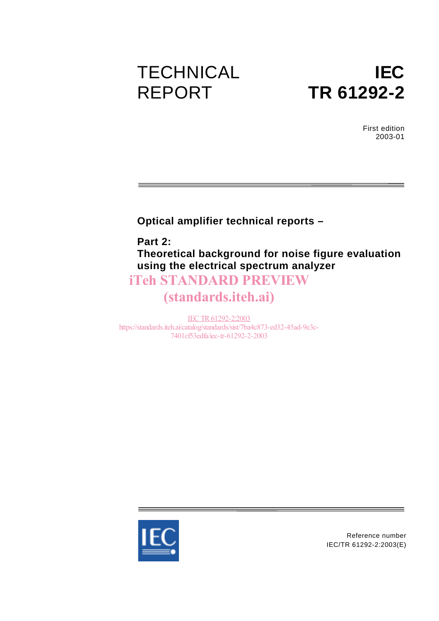# **TECHNICAL** REPORT



First edition 2003-01

### **Optical amplifier technical reports –**

**Part 2: Theoretical background for noise figure evaluation using the electrical spectrum analyzer**

## iTeh STANDARD PREVIEW

# (standards.iteh.ai)

IEC TR61292-2:2003 https://standards.iteh.ai/catalog/standards/sist/7ba4c873-ed32-45ad-9e3c-7401cf53edfa/iec-tr-61292-2-2003



Reference number IEC/TR 61292-2:2003(E)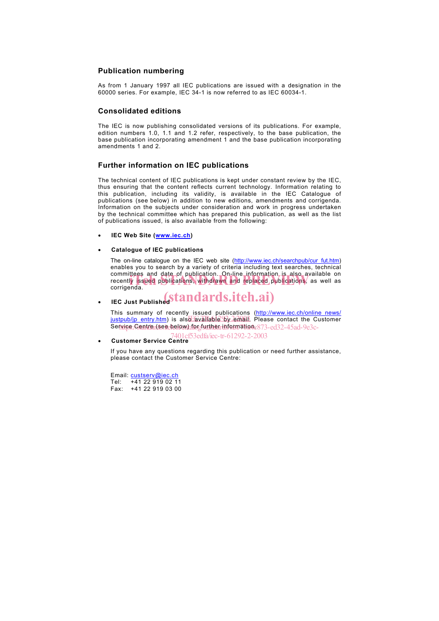#### **Publication numbering**

As from 1 January 1997 all IEC publications are issued with a designation in the 60000 series. For example, IEC 34-1 is now referred to as IEC 60034-1.

#### **Consolidated editions**

The IEC is now publishing consolidated versions of its publications. For example, edition numbers 1.0, 1.1 and 1.2 refer, respectively, to the base publication, the base publication incorporating amendment 1 and the base publication incorporating amendments 1 and 2.

#### **Further information on IEC publications**

The technical content of IEC publications is kept under constant review by the IEC, thus ensuring that the content reflects current technology. Information relating to this publication, including its validity, is available in the IEC Catalogue of publications (see below) in addition to new editions, amendments and corrigenda. Information on the subjects under consideration and work in progress undertaken by the technical committee which has prepared this publication, as well as the list of publications issued, is also available from the following:

- **IEC Web Site (www.iec.ch)**
- **Catalogue of IEC publications**

The on-line catalogue on the IEC web site (http://www.iec.ch/searchpub/cur\_fut.htm) enables you to search by a variety of criteria including text searches, technical committees and date of publication. On-line information is also available on committees and date of publication. On-line information is also available on<br>recently issued publications, withdrawn and replaced publications, as well as<br>corrigenda corrigenda.

# **• IEC Just Published Standards.iteh.ai**)

This summary of recently issued publications (http://www.iec.ch/online\_news/ justpub/jp\_entry.htm) is also available by email. Please contact the Customer Ser<u>wige;/Centre.r(serebelpw);/forgfurther.rinformatione873-ed32-45ad-9e3c-</u>

• **Customer Service Centre** 7401cf53edfa/iec-tr-61292-2-2003

If you have any questions regarding this publication or need further assistance, please contact the Customer Service Centre:

Email: custserv@iec.ch Tel: +41 22 919 02 11 Fax: +41 22 919 03 00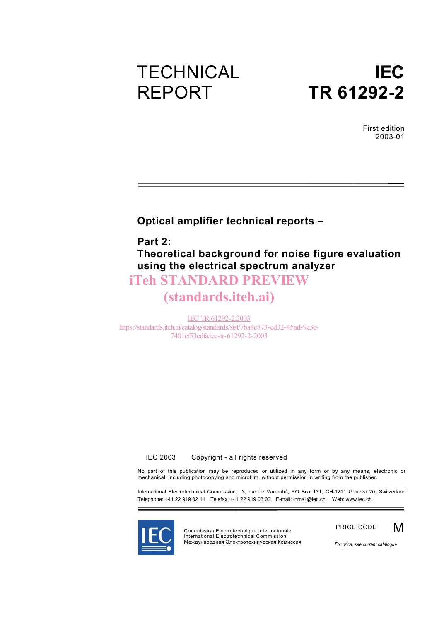# **TECHNICAL** REPORT

# **IEC TR 61292-2**

First edition 2003-01

<u> 1989 - Johann Barnett, fransk politiker (</u>

### **Optical amplifier technical reports –**

**Part 2: Theoretical background for noise figure evaluation using the electrical spectrum analyzer**

### iTeh STANDARD PREVIEW

## (standards.iteh.ai)

IEC TR61292-2:2003 https://standards.iteh.ai/catalog/standards/sist/7ba4c873-ed32-45ad-9e3c-7401cf53edfa/iec-tr-61292-2-2003

© IEC 2003 - Copyright - all rights reserved

No part of this publication may be reproduced or utilized in any form or by any means, electronic or mechanical, including photocopying and microfilm, without permission in writing from the publisher.

International Electrotechnical Commission, 3, rue de Varembé, PO Box 131, CH-1211 Geneva 20, Switzerland Telephone: +41 22 919 02 11 Telefax: +41 22 919 03 00 E-mail: inmail@iec.ch Web: www.iec.ch



Commission Electrotechnique Internationale International Electrotechnical Commission Международная Электротехническая Комиссия



*For price, see current catalogue*

M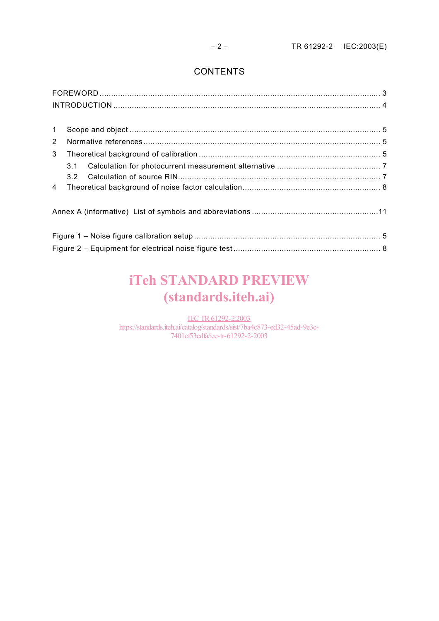### **CONTENTS**

| $\mathbf{1}$   |     |  |  |  |
|----------------|-----|--|--|--|
| $\overline{2}$ |     |  |  |  |
| 3              |     |  |  |  |
|                | 3.1 |  |  |  |
|                | 3.2 |  |  |  |
| $\overline{4}$ |     |  |  |  |
|                |     |  |  |  |
|                |     |  |  |  |
|                |     |  |  |  |
|                |     |  |  |  |
|                |     |  |  |  |
|                |     |  |  |  |

# iTeh STANDARD PREVIEW (standards.iteh.ai)

IEC TR61292-2:2003 https://standards.iteh.ai/catalog/standards/sist/7ba4c873-ed32-45ad-9e3c-7401cf53edfa/iec-tr-61292-2-2003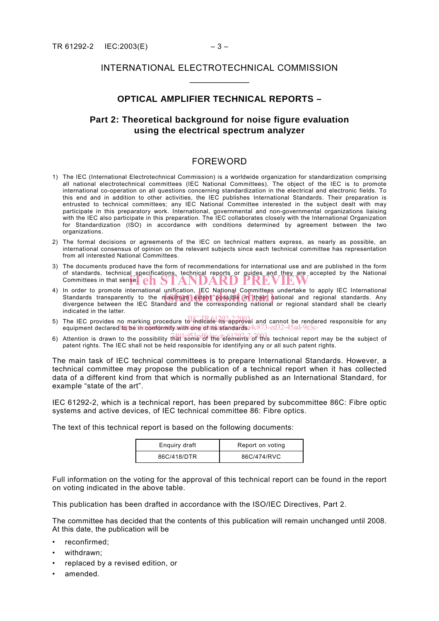### INTERNATIONAL ELECTROTECHNICAL COMMISSION  $\frac{1}{2}$

### **OPTICAL AMPLIFIER TECHNICAL REPORTS –**

### **Part 2: Theoretical background for noise figure evaluation using the electrical spectrum analyzer**

### FOREWORD

- 1) The IEC (International Electrotechnical Commission) is a worldwide organization for standardization comprising all national electrotechnical committees (IEC National Committees). The object of the IEC is to promote international co-operation on all questions concerning standardization in the electrical and electronic fields. To this end and in addition to other activities, the IEC publishes International Standards. Their preparation is entrusted to technical committees; any IEC National Committee interested in the subject dealt with may participate in this preparatory work. International, governmental and non-governmental organizations liaising with the IEC also participate in this preparation. The IEC collaborates closely with the International Organization for Standardization (ISO) in accordance with conditions determined by agreement between the two organizations.
- 2) The formal decisions or agreements of the IEC on technical matters express, as nearly as possible, an international consensus of opinion on the relevant subjects since each technical committee has representation from all interested National Committees.
- 3) The documents produced have the form of recommendations for international use and are published in the form of standards, technical specifications, technical reports or guides and they are accepted by the National Committees in that sense. COMERN DARD PREVIEW Committees in that sense. **COMM**
- 4) In order to promote international unification, IEC National Committees undertake to apply IEC International in order to promote international unification, LEC National Committees undertake to apply IEC international<br>Standards transparently to the maximum extent possible in their national and regional standards. Any<br>divergence be divergence between the IEC Standard and the corresponding national or regional standard shall be clearly indicated in the latter.
- 5) The IEC provides no marking procedure to indicate its approval and cannot be rendered responsible for any equipment declared to be in conformity with one of its standards. https://standards.iteh.ai/catalog/standards/sist/7ba4c873-ed32-45ad-9e3c-
- 6) Attention is drawn to the possibility that some of the telements of this technical report may be the subject of patent rights. The IEC shall not be held responsible for identifying any or all such patent rights.

The main task of IEC technical committees is to prepare International Standards. However, a technical committee may propose the publication of a technical report when it has collected data of a different kind from that which is normally published as an International Standard, for example "state of the art".

IEC 61292-2, which is a technical report, has been prepared by subcommittee 86C: Fibre optic systems and active devices, of IEC technical committee 86: Fibre optics.

The text of this technical report is based on the following documents:

| Enguiry draft | Report on voting |
|---------------|------------------|
| 86C/418/DTR   | 86C/474/RVC      |

Full information on the voting for the approval of this technical report can be found in the report on voting indicated in the above table.

This publication has been drafted in accordance with the ISO/IEC Directives, Part 2.

The committee has decided that the contents of this publication will remain unchanged until 2008. At this date, the publication will be

- reconfirmed:
- withdrawn;
- replaced by a revised edition, or
- amended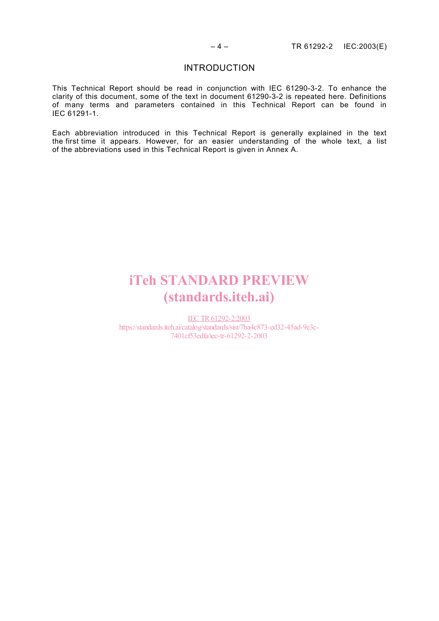#### INTRODUCTION

This Technical Report should be read in conjunction with IEC 61290-3-2. To enhance the clarity of this document, some of the text in document 61290-3-2 is repeated here. Definitions of many terms and parameters contained in this Technical Report can be found in IEC 61291-1.

Each abbreviation introduced in this Technical Report is generally explained in the text the first time it appears. However, for an easier understanding of the whole text, a list of the abbreviations used in this Technical Report is given in Annex A.

# iTeh STANDARD PREVIEW (standards.iteh.ai)

IEC TR61292-2:2003 https://standards.iteh.ai/catalog/standards/sist/7ba4c873-ed32-45ad-9e3c-7401cf53edfa/iec-tr-61292-2-2003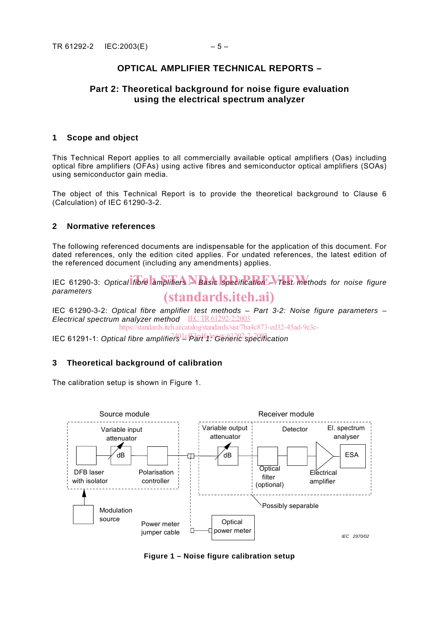### **OPTICAL AMPLIFIER TECHNICAL REPORTS –**

### **Part 2: Theoretical background for noise figure evaluation using the electrical spectrum analyzer**

#### **1 Scope and object**

This Technical Report applies to all commercially available optical amplifiers (Oas) including optical fibre amplifiers (OFAs) using active fibres and semiconductor optical amplifiers (SOAs) using semiconductor gain media.

The object of this Technical Report is to provide the theoretical background to Clause 6 (Calculation) of IEC 61290-3-2.

#### **2 Normative references**

The following referenced documents are indispensable for the application of this document. For dated references, only the edition cited applies. For undated references, the latest edition of the referenced document (including any amendments) applies.

IEC 61290-3: Optical fibre amplifiers **A Basic Specification – Test met**hods for noise figure *parameters* (standards.iteh.ai)

IEC 61290-3-2: *Optical fibre amplifier test methods – Part 3-2: Noise figure parameters – Electrical spectrum analyzer method* IEC TR61292-2:2003

https://standards.iteh.ai/catalog/standards/sist/7ba4c873-ed32-45ad-9e3c-

IEC 61291-1: Optical fibre amplifiers<sup>1401cf53edfa/ie</sup>Gt<del>eneric specifi</del>cation

#### **3 Theoretical background of calibration**

The calibration setup is shown in Figure 1.



**Figure 1 – Noise figure calibration setup**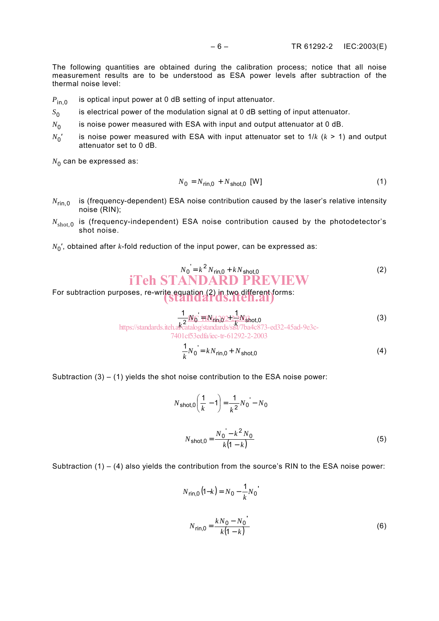The following quantities are obtained during the calibration process; notice that all noise measurement results are to be understood as ESA power levels after subtraction of the thermal noise level:

- $P_{\text{in }0}$  is optical input power at 0 dB setting of input attenuator.
- *S*<sub>0</sub> is electrical power of the modulation signal at 0 dB setting of input attenuator.
- $N_0$  is noise power measured with ESA with input and output attenuator at 0 dB.
- $N_0'$  is noise power measured with ESA with input attenuator set to  $1/k$  ( $k > 1$ ) and output attenuator set to 0 dB.

 $N_0$  can be expressed as:

$$
N_0 = N_{\text{rin},0} + N_{\text{shot},0} \text{ [W]} \tag{1}
$$

- $N_{\text{rin},0}$  is (frequency-dependent) ESA noise contribution caused by the laser's relative intensity noise (RIN);
- $N_{shot,0}$  is (frequency-independent) ESA noise contribution caused by the photodetector's shot noise.
- $N_0'$ , obtained after *k*-fold reduction of the input power, can be expressed as:

$$
N_0 = k^2 N_{\text{ring},0} + k N_{\text{shot},0}
$$
  
if **ChSTANDARD PREVIEW** (2)

For subtraction purposes, re-write equation (2) in two different forms:<br>Standards.iten.ai)

$$
\frac{1}{2^{N_0} \text{FIN}} \frac{1}{2^{2N_0} \text{FIN}} \tag{3}
$$
\n
$$
\frac{1}{2^{2N_0} \text{FIN}} \cdot \frac{1}{2^{2N_0} \text{hot}} \tag{3}
$$
\n
$$
\frac{1}{2^{2N_0} \text{hot}} \cdot \frac{1}{2^{2N_0} \text{hot}} \cdot \frac{1}{2^{2N_0} \text{hot}} \cdot \frac{1}{2^{2N_0} \text{hot}} \tag{3}
$$

7401cf53edfa/iec-tr-61292-2-2003

$$
\frac{1}{k}N_0 = kN_{\text{rin},0} + N_{\text{shot},0}
$$
\n(4)

Subtraction  $(3) - (1)$  yields the shot noise contribution to the ESA noise power:

$$
N_{\text{shot},0} \left( \frac{1}{k} - 1 \right) = \frac{1}{k^2} N_0 - N_0
$$
  

$$
N_{\text{shot},0} = \frac{N_0 - k^2 N_0}{k(1 - k)}
$$
 (5)

Subtraction  $(1) - (4)$  also yields the contribution from the source's RIN to the ESA noise power:

$$
N_{\text{rin},0} (1-k) = N_0 - \frac{1}{k} N_0
$$

$$
N_{\text{rin},0} = \frac{k N_0 - N_0}{k(1-k)}
$$
(6)